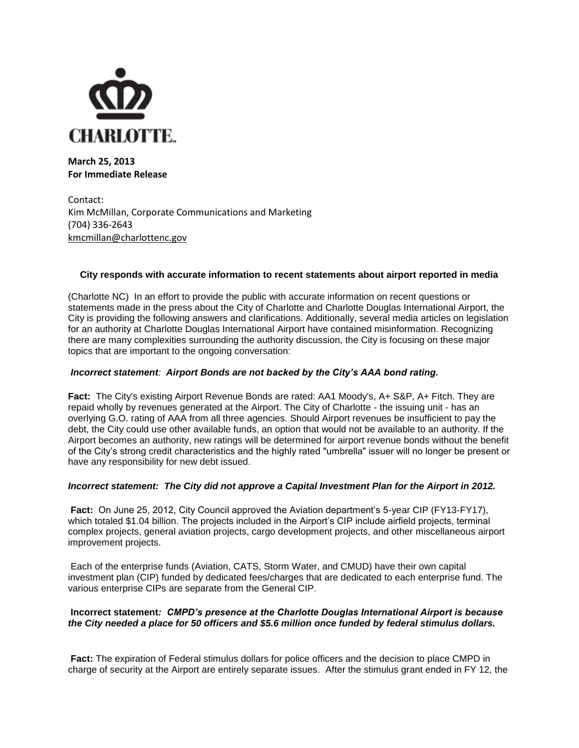

**March 25, 2013 For Immediate Release**

Contact: Kim McMillan, Corporate Communications and Marketing (704) 336-2643 [kmcmillan@charlottenc.gov](mailto:kmcmillan@charlottenc.gov)

# **City responds with accurate information to recent statements about airport reported in media**

(Charlotte NC) In an effort to provide the public with accurate information on recent questions or statements made in the press about the City of Charlotte and Charlotte Douglas International Airport, the City is providing the following answers and clarifications. Additionally, several media articles on legislation for an authority at Charlotte Douglas International Airport have contained misinformation. Recognizing there are many complexities surrounding the authority discussion, the City is focusing on these major topics that are important to the ongoing conversation:

## *Incorrect statement: Airport Bonds are not backed by the City's AAA bond rating.*

**Fact:** The City's existing Airport Revenue Bonds are rated: AA1 Moody's, A+ S&P, A+ Fitch. They are repaid wholly by revenues generated at the Airport. The City of Charlotte - the issuing unit - has an overlying G.O. rating of AAA from all three agencies. Should Airport revenues be insufficient to pay the debt, the City could use other available funds, an option that would not be available to an authority. If the Airport becomes an authority, new ratings will be determined for airport revenue bonds without the benefit of the City's strong credit characteristics and the highly rated "umbrella" issuer will no longer be present or have any responsibility for new debt issued.

### *Incorrect statement: The City did not approve a Capital Investment Plan for the Airport in 2012.*

**Fact:** On June 25, 2012, City Council approved the Aviation department's 5-year CIP (FY13-FY17), which totaled \$1.04 billion. The projects included in the Airport's CIP include airfield projects, terminal complex projects, general aviation projects, cargo development projects, and other miscellaneous airport improvement projects.

Each of the enterprise funds (Aviation, CATS, Storm Water, and CMUD) have their own capital investment plan (CIP) funded by dedicated fees/charges that are dedicated to each enterprise fund. The various enterprise CIPs are separate from the General CIP.

# **Incorrect statement***: CMPD's presence at the Charlotte Douglas International Airport is because the City needed a place for 50 officers and \$5.6 million once funded by federal stimulus dollars.*

**Fact:** The expiration of Federal stimulus dollars for police officers and the decision to place CMPD in charge of security at the Airport are entirely separate issues. After the stimulus grant ended in FY 12, the